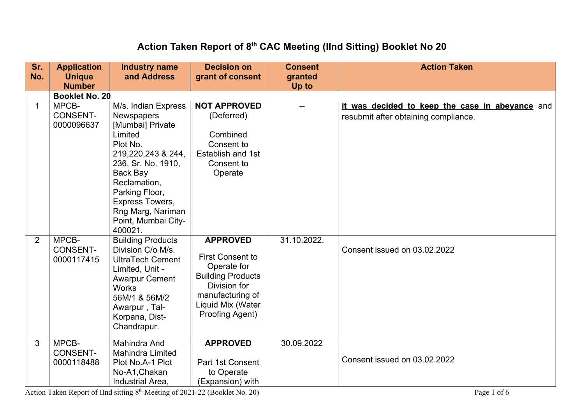## **Action Taken Report of 8th CAC Meeting (IInd Sitting) Booklet No 20**

| Sr.<br>No.     | <b>Application</b><br><b>Unique</b>    | <b>Industry name</b><br>and Address                                                                                                                                                                                                              | <b>Decision on</b><br>grant of consent                                                                                                                            | <b>Consent</b><br>granted | <b>Action Taken</b>                                                                     |
|----------------|----------------------------------------|--------------------------------------------------------------------------------------------------------------------------------------------------------------------------------------------------------------------------------------------------|-------------------------------------------------------------------------------------------------------------------------------------------------------------------|---------------------------|-----------------------------------------------------------------------------------------|
|                | <b>Number</b>                          |                                                                                                                                                                                                                                                  |                                                                                                                                                                   | Up to                     |                                                                                         |
|                | <b>Booklet No. 20</b>                  |                                                                                                                                                                                                                                                  |                                                                                                                                                                   |                           |                                                                                         |
| $\mathbf{1}$   | MPCB-<br><b>CONSENT-</b><br>0000096637 | M/s. Indian Express<br>Newspapers<br>[Mumbai] Private<br>Limited<br>Plot No.<br>219,220,243 & 244,<br>236, Sr. No. 1910,<br>Back Bay<br>Reclamation,<br>Parking Floor,<br>Express Towers,<br>Rng Marg, Nariman<br>Point, Mumbai City-<br>400021. | <b>NOT APPROVED</b><br>(Deferred)<br>Combined<br>Consent to<br>Establish and 1st<br>Consent to<br>Operate                                                         |                           | it was decided to keep the case in abeyance and<br>resubmit after obtaining compliance. |
| $\overline{2}$ | MPCB-<br><b>CONSENT-</b><br>0000117415 | <b>Building Products</b><br>Division C/o M/s.<br><b>UltraTech Cement</b><br>Limited, Unit -<br><b>Awarpur Cement</b><br><b>Works</b><br>56M/1 & 56M/2<br>Awarpur, Tal-<br>Korpana, Dist-<br>Chandrapur.                                          | <b>APPROVED</b><br><b>First Consent to</b><br>Operate for<br><b>Building Products</b><br>Division for<br>manufacturing of<br>Liquid Mix (Water<br>Proofing Agent) | 31.10.2022.               | Consent issued on 03.02.2022                                                            |
| 3              | MPCB-<br><b>CONSENT-</b><br>0000118488 | <b>Mahindra And</b><br><b>Mahindra Limited</b><br>Plot No.A-1 Plot<br>No-A1, Chakan<br>Industrial Area.                                                                                                                                          | <b>APPROVED</b><br>Part 1st Consent<br>to Operate<br>(Expansion) with                                                                                             | 30.09.2022                | Consent issued on 03.02.2022                                                            |

Action Taken Report of IInd sitting 8<sup>th</sup> Meeting of 2021-22 (Booklet No. 20) Page 1 of 6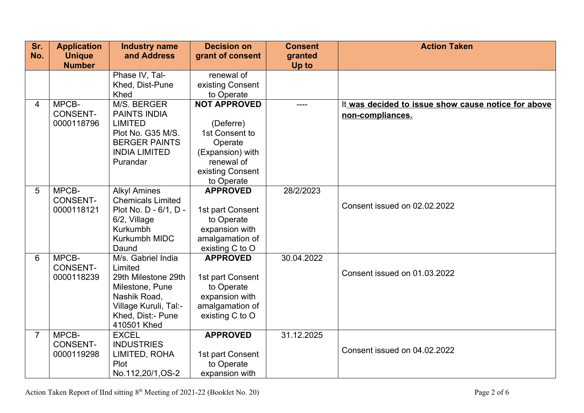| Sr. | <b>Application</b>     | <b>Industry name</b>     | <b>Decision on</b>           | <b>Consent</b> | <b>Action Taken</b>                                 |
|-----|------------------------|--------------------------|------------------------------|----------------|-----------------------------------------------------|
| No. | <b>Unique</b>          | and Address              | grant of consent             | granted        |                                                     |
|     | <b>Number</b>          |                          |                              | Up to          |                                                     |
|     |                        | Phase IV, Tal-           | renewal of                   |                |                                                     |
|     |                        | Khed, Dist-Pune          | existing Consent             |                |                                                     |
|     |                        | Khed                     | to Operate                   |                |                                                     |
| 4   | MPCB-                  | M/S. BERGER              | <b>NOT APPROVED</b>          |                | It was decided to issue show cause notice for above |
|     | <b>CONSENT-</b>        | <b>PAINTS INDIA</b>      |                              |                | non-compliances.                                    |
|     | 0000118796             | <b>LIMITED</b>           | (Deferre)                    |                |                                                     |
|     |                        | Plot No. G35 M/S.        | 1st Consent to               |                |                                                     |
|     |                        | <b>BERGER PAINTS</b>     | Operate                      |                |                                                     |
|     |                        | <b>INDIA LIMITED</b>     | (Expansion) with             |                |                                                     |
|     |                        | Purandar                 | renewal of                   |                |                                                     |
|     |                        |                          | existing Consent             |                |                                                     |
|     |                        |                          | to Operate                   |                |                                                     |
| 5   | MPCB-                  | <b>Alkyl Amines</b>      | <b>APPROVED</b>              | 28/2/2023      |                                                     |
|     | CONSENT-<br>0000118121 | <b>Chemicals Limited</b> |                              |                | Consent issued on 02.02.2022                        |
|     |                        | Plot No. D - 6/1, D -    | 1st part Consent             |                |                                                     |
|     |                        | 6/2, Village<br>Kurkumbh | to Operate<br>expansion with |                |                                                     |
|     |                        | Kurkumbh MIDC            | amalgamation of              |                |                                                     |
|     |                        | Daund                    | existing C to O              |                |                                                     |
| 6   | MPCB-                  | M/s. Gabriel India       | <b>APPROVED</b>              | 30.04.2022     |                                                     |
|     | <b>CONSENT-</b>        | Limited                  |                              |                |                                                     |
|     | 0000118239             | 29th Milestone 29th      | 1st part Consent             |                | Consent issued on 01.03.2022                        |
|     |                        | Milestone, Pune          | to Operate                   |                |                                                     |
|     |                        | Nashik Road,             | expansion with               |                |                                                     |
|     |                        | Village Kuruli, Tal:-    | amalgamation of              |                |                                                     |
|     |                        | Khed, Dist:- Pune        | existing C to O              |                |                                                     |
|     |                        | 410501 Khed              |                              |                |                                                     |
| 7   | MPCB-                  | <b>EXCEL</b>             | <b>APPROVED</b>              | 31.12.2025     |                                                     |
|     | <b>CONSENT-</b>        | <b>INDUSTRIES</b>        |                              |                |                                                     |
|     | 0000119298             | LIMITED, ROHA            | 1st part Consent             |                | Consent issued on 04.02.2022                        |
|     |                        | Plot                     | to Operate                   |                |                                                     |
|     |                        | No.112,20/1,OS-2         | expansion with               |                |                                                     |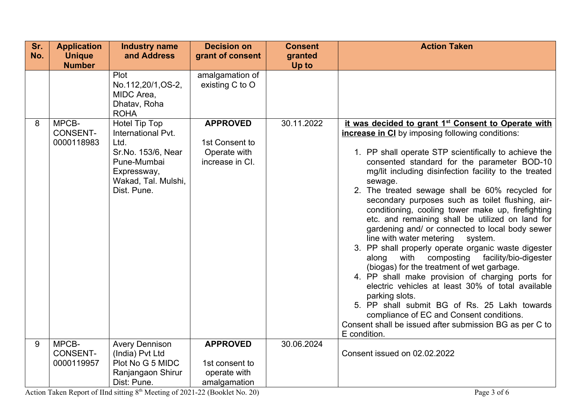| Sr. | <b>Application</b>                     | <b>Industry name</b>                                                                                                                  | <b>Decision on</b>                                                   | <b>Consent</b> | <b>Action Taken</b>                                                                                                                                                                                                                                                                                                                                                                                                                                                                                                                                                                                                                                                                                                                                                                                                                                                                                                                                                                                                                                    |
|-----|----------------------------------------|---------------------------------------------------------------------------------------------------------------------------------------|----------------------------------------------------------------------|----------------|--------------------------------------------------------------------------------------------------------------------------------------------------------------------------------------------------------------------------------------------------------------------------------------------------------------------------------------------------------------------------------------------------------------------------------------------------------------------------------------------------------------------------------------------------------------------------------------------------------------------------------------------------------------------------------------------------------------------------------------------------------------------------------------------------------------------------------------------------------------------------------------------------------------------------------------------------------------------------------------------------------------------------------------------------------|
| No. | <b>Unique</b>                          | and Address                                                                                                                           | grant of consent                                                     | granted        |                                                                                                                                                                                                                                                                                                                                                                                                                                                                                                                                                                                                                                                                                                                                                                                                                                                                                                                                                                                                                                                        |
|     | <b>Number</b>                          |                                                                                                                                       |                                                                      | Up to          |                                                                                                                                                                                                                                                                                                                                                                                                                                                                                                                                                                                                                                                                                                                                                                                                                                                                                                                                                                                                                                                        |
|     |                                        | Plot<br>No.112,20/1,OS-2,<br>MIDC Area,<br>Dhatav, Roha<br><b>ROHA</b>                                                                | amalgamation of<br>existing C to O                                   |                |                                                                                                                                                                                                                                                                                                                                                                                                                                                                                                                                                                                                                                                                                                                                                                                                                                                                                                                                                                                                                                                        |
| 8   | MPCB-<br><b>CONSENT-</b><br>0000118983 | Hotel Tip Top<br>International Pvt.<br>Ltd.<br>Sr.No. 153/6, Near<br>Pune-Mumbai<br>Expressway,<br>Wakad, Tal. Mulshi,<br>Dist. Pune. | <b>APPROVED</b><br>1st Consent to<br>Operate with<br>increase in CI. | 30.11.2022     | it was decided to grant 1 <sup>st</sup> Consent to Operate with<br><b>increase in CI</b> by imposing following conditions:<br>1. PP shall operate STP scientifically to achieve the<br>consented standard for the parameter BOD-10<br>mg/lit including disinfection facility to the treated<br>sewage.<br>2. The treated sewage shall be 60% recycled for<br>secondary purposes such as toilet flushing, air-<br>conditioning, cooling tower make up, firefighting<br>etc. and remaining shall be utilized on land for<br>gardening and/ or connected to local body sewer<br>line with water metering system.<br>3. PP shall properly operate organic waste digester<br>with composting facility/bio-digester<br>along<br>(biogas) for the treatment of wet garbage.<br>4. PP shall make provision of charging ports for<br>electric vehicles at least 30% of total available<br>parking slots.<br>5. PP shall submit BG of Rs. 25 Lakh towards<br>compliance of EC and Consent conditions.<br>Consent shall be issued after submission BG as per C to |
|     |                                        |                                                                                                                                       |                                                                      |                | E condition.                                                                                                                                                                                                                                                                                                                                                                                                                                                                                                                                                                                                                                                                                                                                                                                                                                                                                                                                                                                                                                           |
| 9   | MPCB-                                  | <b>Avery Dennison</b>                                                                                                                 | <b>APPROVED</b>                                                      | 30.06.2024     |                                                                                                                                                                                                                                                                                                                                                                                                                                                                                                                                                                                                                                                                                                                                                                                                                                                                                                                                                                                                                                                        |
|     | <b>CONSENT-</b><br>0000119957          | (India) Pvt Ltd<br>Plot No G 5 MIDC                                                                                                   | 1st consent to                                                       |                | Consent issued on 02.02.2022                                                                                                                                                                                                                                                                                                                                                                                                                                                                                                                                                                                                                                                                                                                                                                                                                                                                                                                                                                                                                           |
|     |                                        | Ranjangaon Shirur                                                                                                                     | operate with                                                         |                |                                                                                                                                                                                                                                                                                                                                                                                                                                                                                                                                                                                                                                                                                                                                                                                                                                                                                                                                                                                                                                                        |
|     |                                        | Dist: Pune.                                                                                                                           | amalgamation                                                         |                |                                                                                                                                                                                                                                                                                                                                                                                                                                                                                                                                                                                                                                                                                                                                                                                                                                                                                                                                                                                                                                                        |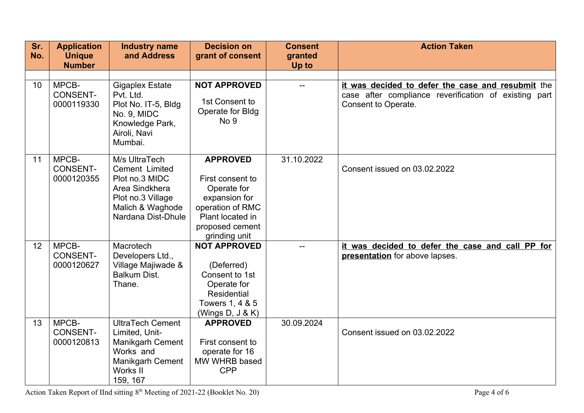| Sr.<br>No. | <b>Application</b><br><b>Unique</b>    | <b>Industry name</b><br>and Address                                                                                                  | <b>Decision on</b><br>grant of consent                                                                                                          | <b>Consent</b><br>granted | <b>Action Taken</b>                                                                                                               |
|------------|----------------------------------------|--------------------------------------------------------------------------------------------------------------------------------------|-------------------------------------------------------------------------------------------------------------------------------------------------|---------------------------|-----------------------------------------------------------------------------------------------------------------------------------|
|            | <b>Number</b>                          |                                                                                                                                      |                                                                                                                                                 | Up to                     |                                                                                                                                   |
| 10         | MPCB-<br><b>CONSENT-</b><br>0000119330 | <b>Gigaplex Estate</b><br>Pvt. Ltd.<br>Plot No. IT-5, Bldg<br>No. 9, MIDC<br>Knowledge Park,<br>Airoli, Navi<br>Mumbai.              | <b>NOT APPROVED</b><br>1st Consent to<br>Operate for Bldg<br>No <sub>9</sub>                                                                    |                           | it was decided to defer the case and resubmit the<br>case after compliance reverification of existing part<br>Consent to Operate. |
| 11         | MPCB-<br><b>CONSENT-</b><br>0000120355 | M/s UltraTech<br>Cement Limited<br>Plot no.3 MIDC<br>Area Sindkhera<br>Plot no.3 Village<br>Malich & Waghode<br>Nardana Dist-Dhule   | <b>APPROVED</b><br>First consent to<br>Operate for<br>expansion for<br>operation of RMC<br>Plant located in<br>proposed cement<br>grinding unit | 31.10.2022                | Consent issued on 03.02.2022                                                                                                      |
| 12         | MPCB-<br><b>CONSENT-</b><br>0000120627 | Macrotech<br>Developers Ltd.,<br>Village Majiwade &<br><b>Balkum Dist.</b><br>Thane.                                                 | <b>NOT APPROVED</b><br>(Deferred)<br>Consent to 1st<br>Operate for<br>Residential<br>Towers 1, 4 & 5<br>(Wings $D, J & K$ )                     | $-$                       | it was decided to defer the case and call PP for<br>presentation for above lapses.                                                |
| 13         | MPCB-<br><b>CONSENT-</b><br>0000120813 | <b>UltraTech Cement</b><br>Limited, Unit-<br><b>Manikgarh Cement</b><br>Works and<br><b>Manikgarh Cement</b><br>Works II<br>159, 167 | <b>APPROVED</b><br>First consent to<br>operate for 16<br>MW WHRB based<br><b>CPP</b>                                                            | 30.09.2024                | Consent issued on 03.02.2022                                                                                                      |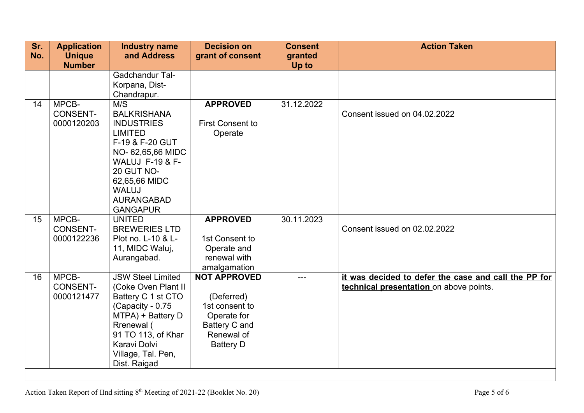| Sr.<br>No. | <b>Application</b><br><b>Unique</b>    | <b>Industry name</b><br>and Address                                                                                                                                                                                          | <b>Decision on</b><br>grant of consent                                                                                | <b>Consent</b><br>granted | <b>Action Taken</b>                                                                             |
|------------|----------------------------------------|------------------------------------------------------------------------------------------------------------------------------------------------------------------------------------------------------------------------------|-----------------------------------------------------------------------------------------------------------------------|---------------------------|-------------------------------------------------------------------------------------------------|
|            | <b>Number</b>                          |                                                                                                                                                                                                                              |                                                                                                                       | Up to                     |                                                                                                 |
|            |                                        | Gadchandur Tal-<br>Korpana, Dist-<br>Chandrapur.                                                                                                                                                                             |                                                                                                                       |                           |                                                                                                 |
| 14         | MPCB-<br><b>CONSENT-</b><br>0000120203 | M/S<br><b>BALKRISHANA</b><br><b>INDUSTRIES</b><br><b>LIMITED</b><br>F-19 & F-20 GUT<br>NO-62,65,66 MIDC<br><b>WALUJ F-19 &amp; F-</b><br>20 GUT NO-<br>62,65,66 MIDC<br><b>WALUJ</b><br><b>AURANGABAD</b><br><b>GANGAPUR</b> | <b>APPROVED</b><br><b>First Consent to</b><br>Operate                                                                 | 31.12.2022                | Consent issued on 04.02.2022                                                                    |
| 15         | MPCB-<br><b>CONSENT-</b><br>0000122236 | <b>UNITED</b><br><b>BREWERIES LTD</b><br>Plot no. L-10 & L-<br>11, MIDC Waluj,<br>Aurangabad.                                                                                                                                | <b>APPROVED</b><br>1st Consent to<br>Operate and<br>renewal with<br>amalgamation                                      | 30.11.2023                | Consent issued on 02.02.2022                                                                    |
| 16         | MPCB-<br><b>CONSENT-</b><br>0000121477 | <b>JSW Steel Limited</b><br>(Coke Oven Plant II<br>Battery C 1 st CTO<br>(Capacity - 0.75<br>MTPA) + Battery D<br>Rrenewal (<br>91 TO 113, of Khar<br>Karavi Dolvi<br>Village, Tal. Pen,<br>Dist. Raigad                     | <b>NOT APPROVED</b><br>(Deferred)<br>1st consent to<br>Operate for<br>Battery C and<br>Renewal of<br><b>Battery D</b> |                           | it was decided to defer the case and call the PP for<br>technical presentation on above points. |